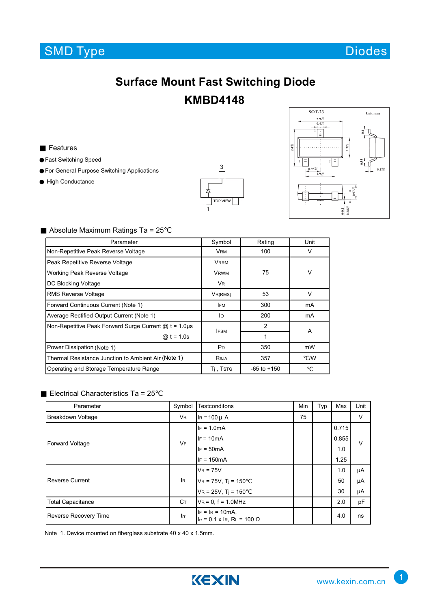## **SMD Type**



## **Surface Mount Fast Switching Diode KMBD4148**

Features

Fast Switching Speed For General Purpose Switching Applications High Conductance





## Absolute Maximum Ratings Ta = 25

| Parameter                                                  | Symbol                | Rating          | Unit   |  |
|------------------------------------------------------------|-----------------------|-----------------|--------|--|
| Non-Repetitive Peak Reverse Voltage                        | <b>VRM</b>            | 100             | V      |  |
| Peak Repetitive Reverse Voltage                            | <b>VRRM</b>           |                 |        |  |
| Working Peak Reverse Voltage                               | <b>VRWM</b>           | 75              | $\vee$ |  |
| DC Blocking Voltage                                        | <b>VR</b>             |                 |        |  |
| <b>RMS Reverse Voltage</b>                                 | VR(RMS)               | 53              | $\vee$ |  |
| Forward Continuous Current (Note 1)                        | <b>IFM</b>            | 300             | mA     |  |
| Average Rectified Output Current (Note 1)                  | lo                    | 200             | mA     |  |
| Non-Repetitive Peak Forward Surge Current $@t = 1.0 \mu s$ | <b>IFSM</b>           | 2               | A      |  |
| @ $t = 1.0s$                                               |                       | 1               |        |  |
| Power Dissipation (Note 1)                                 | <b>P</b> <sub>D</sub> | 350             | mW     |  |
| Thermal Resistance Junction to Ambient Air (Note 1)        | Reja                  | 357             | /W     |  |
| Operating and Storage Temperature Range                    | $Tj$ , Tstg           | $-65$ to $+150$ |        |  |

## Electrical Characteristics Ta = 25

| Parameter                    | Symbol    | Testconditons                                                | Min | Typ | Max   | Unit   |
|------------------------------|-----------|--------------------------------------------------------------|-----|-----|-------|--------|
| <b>Breakdown Voltage</b>     | <b>VR</b> | $I_R = 100 \mu A$                                            | 75  |     |       | $\vee$ |
| <b>Forward Voltage</b>       | <b>VF</b> | $IF = 1.0mA$                                                 |     |     | 0.715 | $\vee$ |
|                              |           | $IF = 10mA$                                                  |     |     | 0.855 |        |
|                              |           | $IF = 50mA$                                                  |     |     | 1.0   |        |
|                              |           | $IF = 150mA$                                                 |     |     | 1.25  |        |
| Reverse Current              | <b>IR</b> | $V_R = 75V$                                                  |     |     | 1.0   | μA     |
|                              |           | $VR = 75V$ , $Ti = 150$                                      |     |     | 50    | μA     |
|                              |           | $VR = 25V$ , $Ti = 150$                                      |     |     | 30    | μA     |
| <b>Total Capacitance</b>     | Cт        | $V_R = 0$ , $f = 1.0$ MHz                                    |     |     | 2.0   | pF     |
| <b>Reverse Recovery Time</b> | trr       | $IF = IR = 10mA$ .<br>I <sub>Ir</sub> = 0.1 x IR, RL = 100 Ω |     |     | 4.0   | ns     |

Note 1. Device mounted on fiberglass substrate 40 x 40 x 1.5mm.